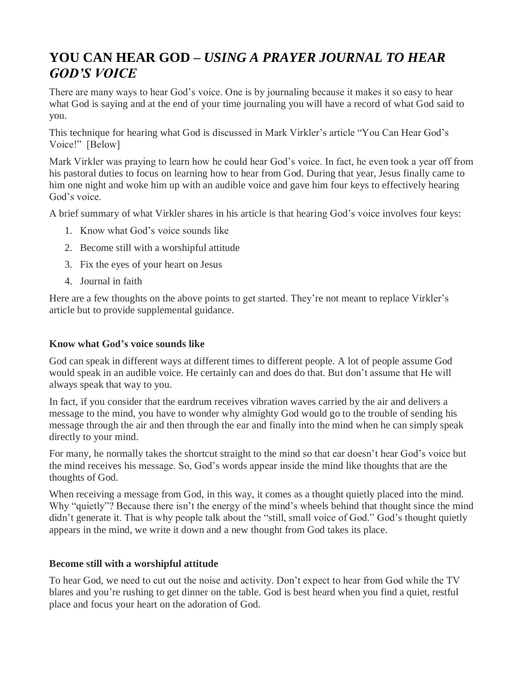# **YOU CAN HEAR GOD –** *USING A PRAYER JOURNAL TO HEAR GOD'S VOICE*

There are many ways to hear God's voice. One is by journaling because it makes it so easy to hear what God is saying and at the end of your time journaling you will have a record of what God said to you.

This technique for hearing what God is discussed in Mark Virkler's article "You Can Hear God's Voice!" [Below]

Mark Virkler was praying to learn how he could hear God's voice. In fact, he even took a year off from his pastoral duties to focus on learning how to hear from God. During that year, Jesus finally came to him one night and woke him up with an audible voice and gave him four keys to effectively hearing God's voice.

A brief summary of what Virkler shares in his article is that hearing God's voice involves four keys:

- 1. Know what God's voice sounds like
- 2. Become still with a worshipful attitude
- 3. Fix the eyes of your heart on Jesus
- 4. Journal in faith

Here are a few thoughts on the above points to get started. They're not meant to replace Virkler's article but to provide supplemental guidance.

### **Know what God's voice sounds like**

God can speak in different ways at different times to different people. A lot of people assume God would speak in an audible voice. He certainly can and does do that. But don't assume that He will always speak that way to you.

In fact, if you consider that the eardrum receives vibration waves carried by the air and delivers a message to the mind, you have to wonder why almighty God would go to the trouble of sending his message through the air and then through the ear and finally into the mind when he can simply speak directly to your mind.

For many, he normally takes the shortcut straight to the mind so that ear doesn't hear God's voice but the mind receives his message. So, God's words appear inside the mind like thoughts that are the thoughts of God.

When receiving a message from God, in this way, it comes as a thought quietly placed into the mind. Why "quietly"? Because there isn't the energy of the mind's wheels behind that thought since the mind didn't generate it. That is why people talk about the "still, small voice of God." God's thought quietly appears in the mind, we write it down and a new thought from God takes its place.

### **Become still with a worshipful attitude**

To hear God, we need to cut out the noise and activity. Don't expect to hear from God while the TV blares and you're rushing to get dinner on the table. God is best heard when you find a quiet, restful place and focus your heart on the adoration of God.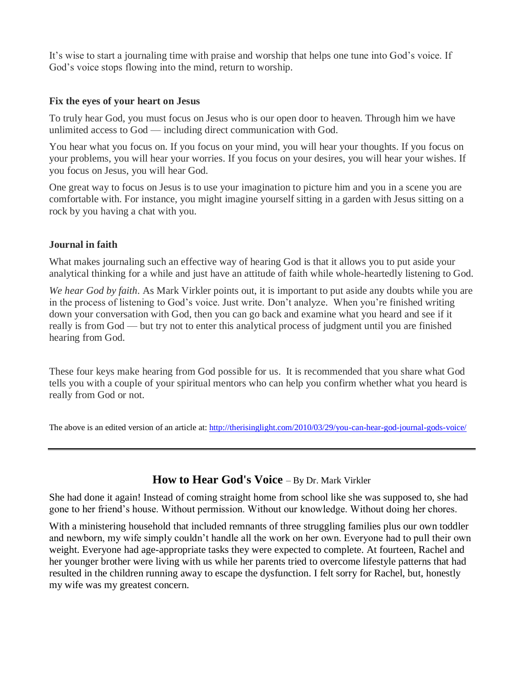It's wise to start a journaling time with praise and worship that helps one tune into God's voice. If God's voice stops flowing into the mind, return to worship.

### **Fix the eyes of your heart on Jesus**

To truly hear God, you must focus on Jesus who is our open door to heaven. Through him we have unlimited access to God — including direct communication with God.

You hear what you focus on. If you focus on your mind, you will hear your thoughts. If you focus on your problems, you will hear your worries. If you focus on your desires, you will hear your wishes. If you focus on Jesus, you will hear God.

One great way to focus on Jesus is to use your imagination to picture him and you in a scene you are comfortable with. For instance, you might imagine yourself sitting in a garden with Jesus sitting on a rock by you having a chat with you.

### **Journal in faith**

What makes journaling such an effective way of hearing God is that it allows you to put aside your analytical thinking for a while and just have an attitude of faith while whole-heartedly listening to God.

*We hear God by faith*. As Mark Virkler points out, it is important to put aside any doubts while you are in the process of listening to God's voice. Just write. Don't analyze. When you're finished writing down your conversation with God, then you can go back and examine what you heard and see if it really is from God — but try not to enter this analytical process of judgment until you are finished hearing from God.

These four keys make hearing from God possible for us. It is recommended that you share what God tells you with a couple of your spiritual mentors who can help you confirm whether what you heard is really from God or not.

The above is an edited version of an article at[: http://therisinglight.com/2010/03/29/you-can-hear-god-journal-gods-voice/](http://therisinglight.com/2010/03/29/you-can-hear-god-journal-gods-voice/)

# How to Hear God's Voice - By Dr. Mark Virkler

She had done it again! Instead of coming straight home from school like she was supposed to, she had gone to her friend's house. Without permission. Without our knowledge. Without doing her chores.

With a ministering household that included remnants of three struggling families plus our own toddler and newborn, my wife simply couldn't handle all the work on her own. Everyone had to pull their own weight. Everyone had age-appropriate tasks they were expected to complete. At fourteen, Rachel and her younger brother were living with us while her parents tried to overcome lifestyle patterns that had resulted in the children running away to escape the dysfunction. I felt sorry for Rachel, but, honestly my wife was my greatest concern.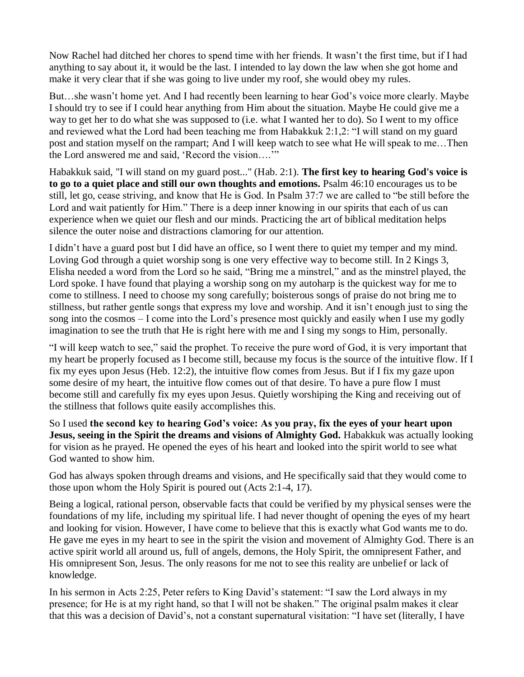Now Rachel had ditched her chores to spend time with her friends. It wasn't the first time, but if I had anything to say about it, it would be the last. I intended to lay down the law when she got home and make it very clear that if she was going to live under my roof, she would obey my rules.

But…she wasn't home yet. And I had recently been learning to hear God's voice more clearly. Maybe I should try to see if I could hear anything from Him about the situation. Maybe He could give me a way to get her to do what she was supposed to (i.e. what I wanted her to do). So I went to my office and reviewed what the Lord had been teaching me from Habakkuk 2:1,2: "I will stand on my guard post and station myself on the rampart; And I will keep watch to see what He will speak to me…Then the Lord answered me and said, 'Record the vision….'"

Habakkuk said, "I will stand on my guard post..." (Hab. 2:1). **The first key to hearing God's voice is to go to a quiet place and still our own thoughts and emotions.** Psalm 46:10 encourages us to be still, let go, cease striving, and know that He is God. In Psalm 37:7 we are called to "be still before the Lord and wait patiently for Him." There is a deep inner knowing in our spirits that each of us can experience when we quiet our flesh and our minds. Practicing the art of biblical meditation helps silence the outer noise and distractions clamoring for our attention.

I didn't have a guard post but I did have an office, so I went there to quiet my temper and my mind. Loving God through a quiet worship song is one very effective way to become still. In 2 Kings 3, Elisha needed a word from the Lord so he said, "Bring me a minstrel," and as the minstrel played, the Lord spoke. I have found that playing a worship song on my autoharp is the quickest way for me to come to stillness. I need to choose my song carefully; boisterous songs of praise do not bring me to stillness, but rather gentle songs that express my love and worship. And it isn't enough just to sing the song into the cosmos – I come into the Lord's presence most quickly and easily when I use my godly imagination to see the truth that He is right here with me and I sing my songs to Him, personally.

"I will keep watch to see," said the prophet. To receive the pure word of God, it is very important that my heart be properly focused as I become still, because my focus is the source of the intuitive flow. If I fix my eyes upon Jesus (Heb. 12:2), the intuitive flow comes from Jesus. But if I fix my gaze upon some desire of my heart, the intuitive flow comes out of that desire. To have a pure flow I must become still and carefully fix my eyes upon Jesus. Quietly worshiping the King and receiving out of the stillness that follows quite easily accomplishes this.

So I used **the second key to hearing God's voice: As you pray, fix the eyes of your heart upon Jesus, seeing in the Spirit the dreams and visions of Almighty God.** Habakkuk was actually looking for vision as he prayed. He opened the eyes of his heart and looked into the spirit world to see what God wanted to show him.

God has always spoken through dreams and visions, and He specifically said that they would come to those upon whom the Holy Spirit is poured out (Acts 2:1-4, 17).

Being a logical, rational person, observable facts that could be verified by my physical senses were the foundations of my life, including my spiritual life. I had never thought of opening the eyes of my heart and looking for vision. However, I have come to believe that this is exactly what God wants me to do. He gave me eyes in my heart to see in the spirit the vision and movement of Almighty God. There is an active spirit world all around us, full of angels, demons, the Holy Spirit, the omnipresent Father, and His omnipresent Son, Jesus. The only reasons for me not to see this reality are unbelief or lack of knowledge.

In his sermon in Acts 2:25, Peter refers to King David's statement: "I saw the Lord always in my presence; for He is at my right hand, so that I will not be shaken." The original psalm makes it clear that this was a decision of David's, not a constant supernatural visitation: "I have set (literally, I have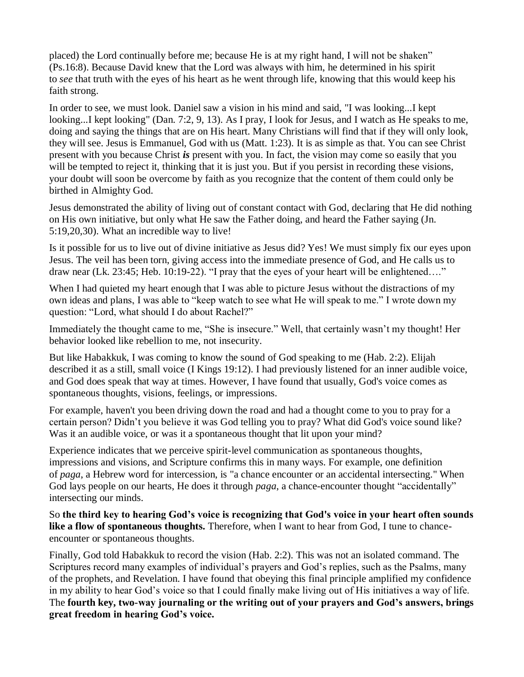placed) the Lord continually before me; because He is at my right hand, I will not be shaken" (Ps.16:8). Because David knew that the Lord was always with him, he determined in his spirit to *see* that truth with the eyes of his heart as he went through life, knowing that this would keep his faith strong.

In order to see, we must look. Daniel saw a vision in his mind and said, "I was looking...I kept looking...I kept looking" (Dan. 7:2, 9, 13). As I pray, I look for Jesus, and I watch as He speaks to me, doing and saying the things that are on His heart. Many Christians will find that if they will only look, they will see. Jesus is Emmanuel, God with us (Matt. 1:23). It is as simple as that. You can see Christ present with you because Christ *is* present with you. In fact, the vision may come so easily that you will be tempted to reject it, thinking that it is just you. But if you persist in recording these visions, your doubt will soon be overcome by faith as you recognize that the content of them could only be birthed in Almighty God.

Jesus demonstrated the ability of living out of constant contact with God, declaring that He did nothing on His own initiative, but only what He saw the Father doing, and heard the Father saying (Jn. 5:19,20,30). What an incredible way to live!

Is it possible for us to live out of divine initiative as Jesus did? Yes! We must simply fix our eyes upon Jesus. The veil has been torn, giving access into the immediate presence of God, and He calls us to draw near (Lk. 23:45; Heb. 10:19-22). "I pray that the eyes of your heart will be enlightened…."

When I had quieted my heart enough that I was able to picture Jesus without the distractions of my own ideas and plans, I was able to "keep watch to see what He will speak to me." I wrote down my question: "Lord, what should I do about Rachel?"

Immediately the thought came to me, "She is insecure." Well, that certainly wasn't my thought! Her behavior looked like rebellion to me, not insecurity.

But like Habakkuk, I was coming to know the sound of God speaking to me (Hab. 2:2). Elijah described it as a still, small voice (I Kings 19:12). I had previously listened for an inner audible voice, and God does speak that way at times. However, I have found that usually, God's voice comes as spontaneous thoughts, visions, feelings, or impressions.

For example, haven't you been driving down the road and had a thought come to you to pray for a certain person? Didn't you believe it was God telling you to pray? What did God's voice sound like? Was it an audible voice, or was it a spontaneous thought that lit upon your mind?

Experience indicates that we perceive spirit-level communication as spontaneous thoughts, impressions and visions, and Scripture confirms this in many ways. For example, one definition of *paga*, a Hebrew word for intercession, is "a chance encounter or an accidental intersecting." When God lays people on our hearts, He does it through *paga*, a chance-encounter thought "accidentally" intersecting our minds.

So **the third key to hearing God's voice is recognizing that God's voice in your heart often sounds like a flow of spontaneous thoughts.** Therefore, when I want to hear from God, I tune to chanceencounter or spontaneous thoughts.

Finally, God told Habakkuk to record the vision (Hab. 2:2). This was not an isolated command. The Scriptures record many examples of individual's prayers and God's replies, such as the Psalms, many of the prophets, and Revelation. I have found that obeying this final principle amplified my confidence in my ability to hear God's voice so that I could finally make living out of His initiatives a way of life. The **fourth key, two-way journaling or the writing out of your prayers and God's answers, brings great freedom in hearing God's voice.**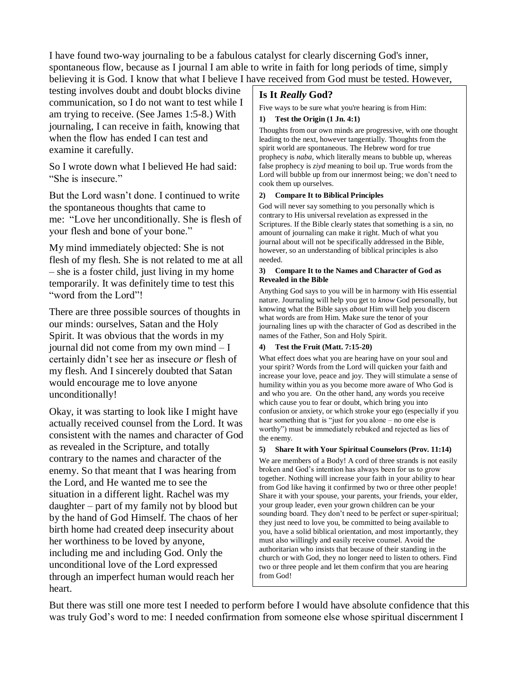I have found two-way journaling to be a fabulous catalyst for clearly discerning God's inner, spontaneous flow, because as I journal I am able to write in faith for long periods of time, simply believing it is God. I know that what I believe I have received from God must be tested. However,

testing involves doubt and doubt blocks divine communication, so I do not want to test while I am trying to receive. (See James 1:5-8.) With journaling, I can receive in faith, knowing that when the flow has ended I can test and examine it carefully.

So I wrote down what I believed He had said: "She is insecure"

But the Lord wasn't done. I continued to write the spontaneous thoughts that came to me: "Love her unconditionally. She is flesh of your flesh and bone of your bone."

My mind immediately objected: She is not flesh of my flesh. She is not related to me at all – she is a foster child, just living in my home temporarily. It was definitely time to test this "word from the Lord"!

There are three possible sources of thoughts in our minds: ourselves, Satan and the Holy Spirit. It was obvious that the words in my journal did not come from my own mind – I certainly didn't see her as insecure *or* flesh of my flesh. And I sincerely doubted that Satan would encourage me to love anyone unconditionally!

Okay, it was starting to look like I might have actually received counsel from the Lord. It was consistent with the names and character of God as revealed in the Scripture, and totally contrary to the names and character of the enemy. So that meant that I was hearing from the Lord, and He wanted me to see the situation in a different light. Rachel was my daughter – part of my family not by blood but by the hand of God Himself. The chaos of her birth home had created deep insecurity about her worthiness to be loved by anyone, including me and including God. Only the unconditional love of the Lord expressed through an imperfect human would reach her heart.

### **Is It** *Really* **God?**

Five ways to be sure what you're hearing is from Him:

#### **1) Test the Origin (1 Jn. 4:1)**

Thoughts from our own minds are progressive, with one thought leading to the next, however tangentially. Thoughts from the spirit world are spontaneous. The Hebrew word for true prophecy is *naba,* which literally means to bubble up, whereas false prophecy is *ziyd* meaning to boil up. True words from the Lord will bubble up from our innermost being; we don't need to cook them up ourselves.

#### **2) Compare It to Biblical Principles**

God will never say something to you personally which is contrary to His universal revelation as expressed in the Scriptures. If the Bible clearly states that something is a sin, no amount of journaling can make it right. Much of what you journal about will not be specifically addressed in the Bible, however, so an understanding of biblical principles is also needed.

#### **3) Compare It to the Names and Character of God as Revealed in the Bible**

Anything God says to you will be in harmony with His essential nature. Journaling will help you get to *know* God personally, but knowing what the Bible says *about* Him will help you discern what words are from Him. Make sure the tenor of your journaling lines up with the character of God as described in the names of the Father, Son and Holy Spirit.

#### **4) Test the Fruit (Matt. 7:15-20)**

What effect does what you are hearing have on your soul and your spirit? Words from the Lord will quicken your faith and increase your love, peace and joy. They will stimulate a sense of humility within you as you become more aware of Who God is and who you are. On the other hand, any words you receive which cause you to fear or doubt, which bring you into confusion or anxiety, or which stroke your ego (especially if you hear something that is "just for you alone – no one else is worthy") must be immediately rebuked and rejected as lies of the enemy.

#### **5) Share It with Your Spiritual Counselors (Prov. 11:14)**

We are members of a Body! A cord of three strands is not easily broken and God's intention has always been for us to grow together. Nothing will increase your faith in your ability to hear from God like having it confirmed by two or three other people! Share it with your spouse, your parents, your friends, your elder, your group leader, even your grown children can be your sounding board. They don't need to be perfect or super-spiritual; they just need to love you, be committed to being available to you, have a solid biblical orientation, and most importantly, they must also willingly and easily receive counsel. Avoid the authoritarian who insists that because of their standing in the church or with God, they no longer need to listen to others. Find two or three people and let them confirm that you are hearing from God!

But there was still one more test I needed to perform before I would have absolute confidence that this was truly God's word to me: I needed confirmation from someone else whose spiritual discernment I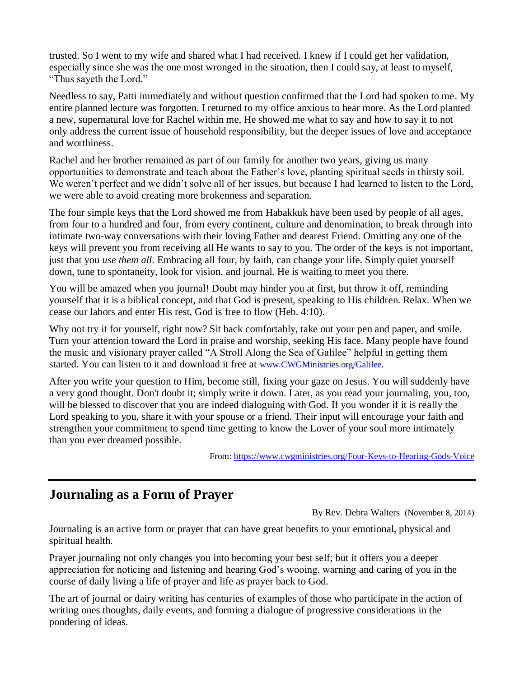trusted. So I went to my wife and shared what I had received. I knew if I could get her validation, especially since she was the one most wronged in the situation, then I could say, at least to myself, "Thus sayeth the Lord."

Needless to say, Patti immediately and without question confirmed that the Lord had spoken to me. My entire planned lecture was forgotten. I returned to my office anxious to hear more. As the Lord planted a new, supernatural love for Rachel within me, He showed me what to say and how to say it to not only address the current issue of household responsibility, but the deeper issues of love and acceptance and worthiness.

Rachel and her brother remained as part of our family for another two years, giving us many opportunities to demonstrate and teach about the Father's love, planting spiritual seeds in thirsty soil. We weren't perfect and we didn't solve all of her issues, but because I had learned to listen to the Lord, we were able to avoid creating more brokenness and separation.

The four simple keys that the Lord showed me from Habakkuk have been used by people of all ages, from four to a hundred and four, from every continent, culture and denomination, to break through into intimate two-way conversations with their loving Father and dearest Friend. Omitting any one of the keys will prevent you from receiving all He wants to say to you. The order of the keys is not important, just that you *use them all*. Embracing all four, by faith, can change your life. Simply quiet yourself down, tune to spontaneity, look for vision, and journal. He is waiting to meet you there.

You will be amazed when you journal! Doubt may hinder you at first, but throw it off, reminding yourself that it is a biblical concept, and that God is present, speaking to His children. Relax. When we cease our labors and enter His rest, God is free to flow (Heb. 4:10).

Why not try it for yourself, right now? Sit back comfortably, take out your pen and paper, and smile. Turn your attention toward the Lord in praise and worship, seeking His face. Many people have found the music and visionary prayer called "A Stroll Along the Sea of Galilee" helpful in getting them started. You can listen to it and download it free at [www.CWGMinistries.org/Galilee](http://www.cwgministries.org/Galilee).

After you write your question to Him, become still, fixing your gaze on Jesus. You will suddenly have a very good thought. Don't doubt it; simply write it down. Later, as you read your journaling, you, too, will be blessed to discover that you are indeed dialoguing with God. If you wonder if it is really the Lord speaking to you, share it with your spouse or a friend. Their input will encourage your faith and strengthen your commitment to spend time getting to know the Lover of your soul more intimately than you ever dreamed possible.

From:<https://www.cwgministries.org/Four-Keys-to-Hearing-Gods-Voice>

# **Journaling as a Form of Prayer**

By Rev. Debra Walters (November 8, 2014)

Journaling is an active form or prayer that can have great benefits to your emotional, physical and spiritual health.

Prayer journaling not only changes you into becoming your best self; but it offers you a deeper appreciation for noticing and listening and hearing God's wooing, warning and caring of you in the course of daily living a life of prayer and life as prayer back to God.

The art of journal or dairy writing has centuries of examples of those who participate in the action of writing ones thoughts, daily events, and forming a dialogue of progressive considerations in the pondering of ideas.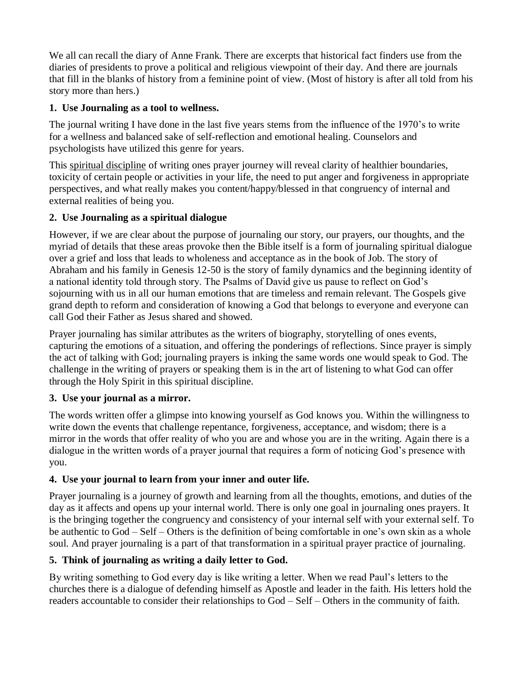We all can recall the diary of Anne Frank. There are excerpts that historical fact finders use from the diaries of presidents to prove a political and religious viewpoint of their day. And there are journals that fill in the blanks of history from a feminine point of view. (Most of history is after all told from his story more than hers.)

## **1. Use Journaling as a tool to wellness.**

The journal writing I have done in the last five years stems from the influence of the 1970's to write for a wellness and balanced sake of self-reflection and emotional healing. Counselors and psychologists have utilized this genre for years.

This [spiritual discipline](http://www.prayerideas.org/wp/how_to_pray/prayer-problems/spiritual-discipline-a-lifestyle/) of writing ones prayer journey will reveal clarity of healthier boundaries, toxicity of certain people or activities in your life, the need to put anger and forgiveness in appropriate perspectives, and what really makes you content/happy/blessed in that congruency of internal and external realities of being you.

## **2. Use Journaling as a spiritual dialogue**

However, if we are clear about the purpose of journaling our story, our prayers, our thoughts, and the myriad of details that these areas provoke then the Bible itself is a form of journaling spiritual dialogue over a grief and loss that leads to wholeness and acceptance as in the book of Job. The story of Abraham and his family in Genesis 12-50 is the story of family dynamics and the beginning identity of a national identity told through story. The Psalms of David give us pause to reflect on God's sojourning with us in all our human emotions that are timeless and remain relevant. The Gospels give grand depth to reform and consideration of knowing a God that belongs to everyone and everyone can call God their Father as Jesus shared and showed.

Prayer journaling has similar attributes as the writers of biography, storytelling of ones events, capturing the emotions of a situation, and offering the ponderings of reflections. Since prayer is simply the act of talking with God; journaling prayers is inking the same words one would speak to God. The challenge in the writing of prayers or speaking them is in the art of listening to what God can offer through the Holy Spirit in this spiritual discipline.

### **3. Use your journal as a mirror.**

The words written offer a glimpse into knowing yourself as God knows you. Within the willingness to write down the events that challenge repentance, forgiveness, acceptance, and wisdom; there is a mirror in the words that offer reality of who you are and whose you are in the writing. Again there is a dialogue in the written words of a prayer journal that requires a form of noticing God's presence with you.

# **4. Use your journal to learn from your inner and outer life.**

Prayer journaling is a journey of growth and learning from all the thoughts, emotions, and duties of the day as it affects and opens up your internal world. There is only one goal in journaling ones prayers. It is the bringing together the congruency and consistency of your internal self with your external self. To be authentic to God – Self – Others is the definition of being comfortable in one's own skin as a whole soul. And prayer journaling is a part of that transformation in a spiritual prayer practice of journaling.

# **5. Think of journaling as writing a daily letter to God.**

By writing something to God every day is like writing a letter. When we read Paul's letters to the churches there is a dialogue of defending himself as Apostle and leader in the faith. His letters hold the readers accountable to consider their relationships to God – Self – Others in the community of faith.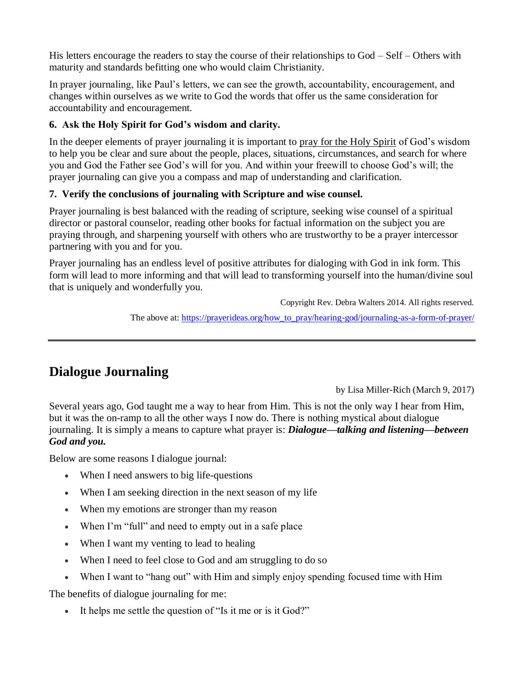His letters encourage the readers to stay the course of their relationships to God – Self – Others with maturity and standards befitting one who would claim Christianity.

In prayer journaling, like Paul's letters, we can see the growth, accountability, encouragement, and changes within ourselves as we write to God the words that offer us the same consideration for accountability and encouragement.

### **6. Ask the Holy Spirit for God's wisdom and clarity.**

In the deeper elements of prayer journaling it is important to [pray for the Holy Spirit](http://www.prayerideas.org/wp/how_to_pray/historical/prayer-for-the-enlightenment-of-the-holy-spirit/) of God's wisdom to help you be clear and sure about the people, places, situations, circumstances, and search for where you and God the Father see God's will for you. And within your freewill to choose God's will; the prayer journaling can give you a compass and map of understanding and clarification.

### **7. Verify the conclusions of journaling with Scripture and wise counsel.**

Prayer journaling is best balanced with the reading of scripture, seeking wise counsel of a spiritual director or pastoral counselor, reading other books for factual information on the subject you are praying through, and sharpening yourself with others who are trustworthy to be a prayer intercessor partnering with you and for you.

Prayer journaling has an endless level of positive attributes for dialoging with God in ink form. This form will lead to more informing and that will lead to transforming yourself into the human/divine soul that is uniquely and wonderfully you.

Copyright Rev. Debra Walters 2014. All rights reserved.

The above at: [https://prayerideas.org/how\\_to\\_pray/hearing-god/journaling-as-a-form-of-prayer/](https://prayerideas.org/how_to_pray/hearing-god/journaling-as-a-form-of-prayer/)

# **Dialogue Journaling**

by Lisa Miller-Rich (March 9, 2017)

Several years ago, God taught me a way to hear from Him. This is not the only way I hear from Him, but it was the on-ramp to all the other ways I now do. There is nothing mystical about dialogue journaling. It is simply a means to capture what prayer is: *Dialogue—talking and listening—between God and you.*

Below are some reasons I dialogue journal:

- When I need answers to big life-questions
- When I am seeking direction in the next season of my life
- When my emotions are stronger than my reason
- When I'm "full" and need to empty out in a safe place
- When I want my venting to lead to healing
- When I need to feel close to God and am struggling to do so
- When I want to "hang out" with Him and simply enjoy spending focused time with Him

The benefits of dialogue journaling for me:

• It helps me settle the question of "Is it me or is it God?"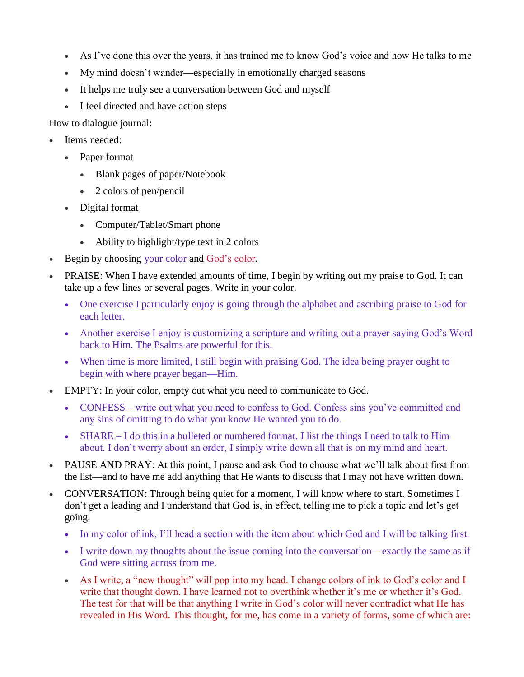- As I've done this over the years, it has trained me to know God's voice and how He talks to me
- My mind doesn't wander—especially in emotionally charged seasons
- It helps me truly see a conversation between God and myself
- I feel directed and have action steps

How to dialogue journal:

- Items needed:
	- Paper format
		- Blank pages of paper/Notebook
		- 2 colors of pen/pencil
	- Digital format
		- Computer/Tablet/Smart phone
		- Ability to highlight/type text in 2 colors
- Begin by choosing your color and God's color.
- PRAISE: When I have extended amounts of time, I begin by writing out my praise to God. It can take up a few lines or several pages. Write in your color.
	- One exercise I particularly enjoy is going through the alphabet and ascribing praise to God for each letter.
	- Another exercise I enjoy is customizing a scripture and writing out a prayer saying God's Word back to Him. The Psalms are powerful for this.
	- When time is more limited, I still begin with praising God. The idea being prayer ought to begin with where prayer began—Him.
- EMPTY: In your color, empty out what you need to communicate to God.
	- CONFESS write out what you need to confess to God. Confess sins you've committed and any sins of omitting to do what you know He wanted you to do.
	- SHARE I do this in a bulleted or numbered format. I list the things I need to talk to Him about. I don't worry about an order, I simply write down all that is on my mind and heart.
- PAUSE AND PRAY: At this point, I pause and ask God to choose what we'll talk about first from the list—and to have me add anything that He wants to discuss that I may not have written down.
- CONVERSATION: Through being quiet for a moment, I will know where to start. Sometimes I don't get a leading and I understand that God is, in effect, telling me to pick a topic and let's get going.
	- In my color of ink, I'll head a section with the item about which God and I will be talking first.
	- I write down my thoughts about the issue coming into the conversation—exactly the same as if God were sitting across from me.
	- As I write, a "new thought" will pop into my head. I change colors of ink to God's color and I write that thought down. I have learned not to overthink whether it's me or whether it's God. The test for that will be that anything I write in God's color will never contradict what He has revealed in His Word. This thought, for me, has come in a variety of forms, some of which are: